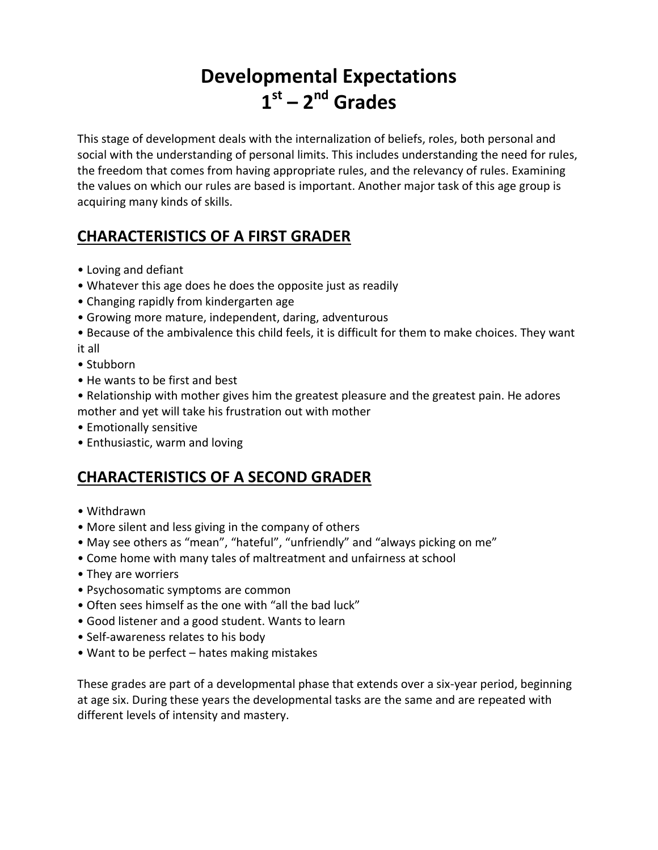# **Developmental Expectations 1 st – 2 nd Grades**

This stage of development deals with the internalization of beliefs, roles, both personal and social with the understanding of personal limits. This includes understanding the need for rules, the freedom that comes from having appropriate rules, and the relevancy of rules. Examining the values on which our rules are based is important. Another major task of this age group is acquiring many kinds of skills.

## **CHARACTERISTICS OF A FIRST GRADER**

- Loving and defiant
- Whatever this age does he does the opposite just as readily
- Changing rapidly from kindergarten age
- Growing more mature, independent, daring, adventurous
- Because of the ambivalence this child feels, it is difficult for them to make choices. They want it all
- Stubborn
- He wants to be first and best
- Relationship with mother gives him the greatest pleasure and the greatest pain. He adores mother and yet will take his frustration out with mother
- Emotionally sensitive
- Enthusiastic, warm and loving

## **CHARACTERISTICS OF A SECOND GRADER**

- Withdrawn
- More silent and less giving in the company of others
- May see others as "mean", "hateful", "unfriendly" and "always picking on me"
- Come home with many tales of maltreatment and unfairness at school
- They are worriers
- Psychosomatic symptoms are common
- Often sees himself as the one with "all the bad luck"
- Good listener and a good student. Wants to learn
- Self-awareness relates to his body
- Want to be perfect hates making mistakes

These grades are part of a developmental phase that extends over a six-year period, beginning at age six. During these years the developmental tasks are the same and are repeated with different levels of intensity and mastery.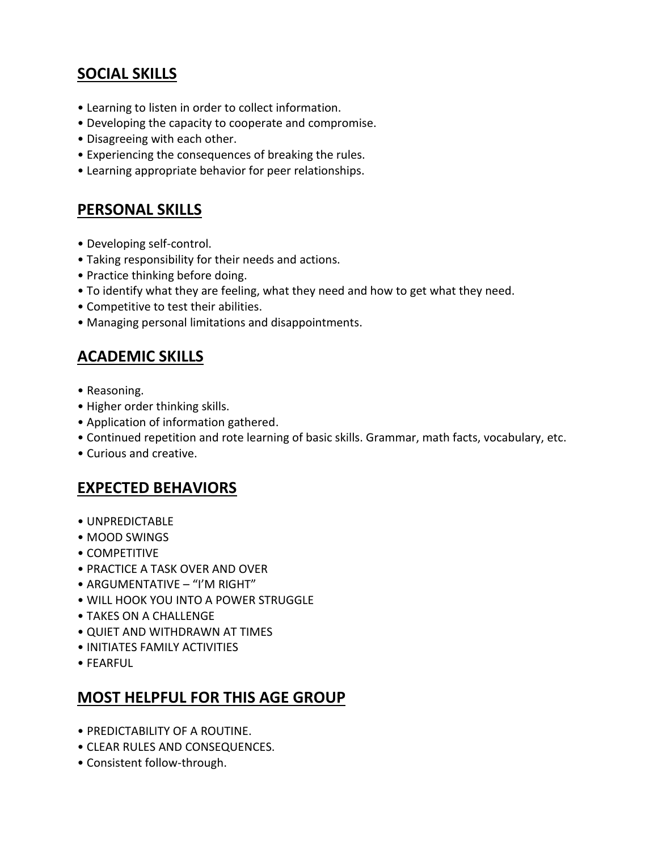## **SOCIAL SKILLS**

- Learning to listen in order to collect information.
- Developing the capacity to cooperate and compromise.
- Disagreeing with each other.
- Experiencing the consequences of breaking the rules.
- Learning appropriate behavior for peer relationships.

#### **PERSONAL SKILLS**

- Developing self-control.
- Taking responsibility for their needs and actions.
- Practice thinking before doing.
- To identify what they are feeling, what they need and how to get what they need.
- Competitive to test their abilities.
- Managing personal limitations and disappointments.

## **ACADEMIC SKILLS**

- Reasoning.
- Higher order thinking skills.
- Application of information gathered.
- Continued repetition and rote learning of basic skills. Grammar, math facts, vocabulary, etc.
- Curious and creative.

## **EXPECTED BEHAVIORS**

- UNPREDICTABLE
- MOOD SWINGS
- COMPETITIVE
- PRACTICE A TASK OVER AND OVER
- ARGUMENTATIVE "I'M RIGHT"
- WILL HOOK YOU INTO A POWER STRUGGLE
- TAKES ON A CHALLENGE
- QUIET AND WITHDRAWN AT TIMES
- INITIATES FAMILY ACTIVITIES
- FEARFUL

## **MOST HELPFUL FOR THIS AGE GROUP**

- PREDICTABILITY OF A ROUTINE.
- CLEAR RULES AND CONSEQUENCES.
- Consistent follow-through.